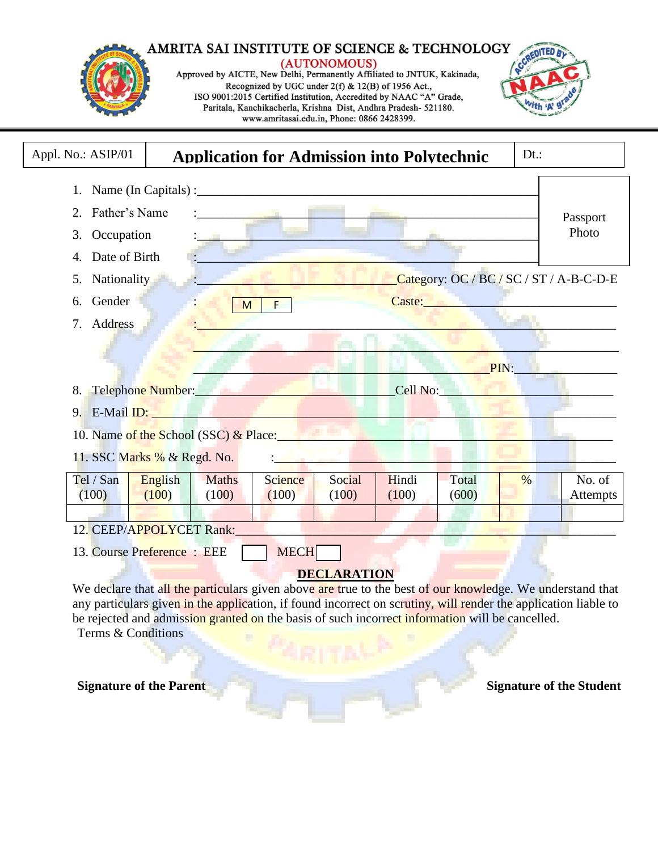#### **AMRITA SAI INSTITUTE OF SCIENCE & TECHNOLOGY** (AUTONOMOUS) Approved by AICTE, New Delhi, Permanently Affiliated to JNTUK, Kakinada, Recognized by UGC under 2(f) & 12(B) of 1956 Act., ISO 9001:2015 Certified Institution, Accredited by NAAC "A" Grade, Tth in Paritala, Kanchikacherla, Krishna Dist, Andhra Pradesh- 521180. www.amritasai.edu.in, Phone: 0866 2428399.



Terms & Conditions

**Signature of the Parent Signature of the Student Signature of the Student**